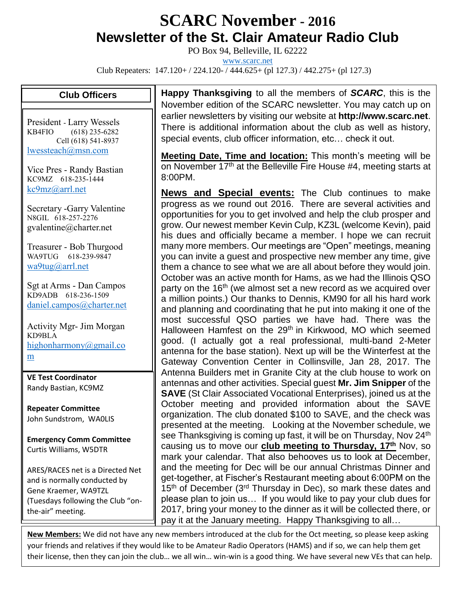## **SCARC November - <sup>2016</sup> Newsletter of the St. Clair Amateur Radio Club**

PO Box 94, Belleville, IL 62222

[www.scarc.net](http://www.scarc.net/)

Club Repeaters: 147.120+ / 224.120- / 444.625+ (pl 127.3) / 442.275+ (pl 127.3)

## **Club Officers**

President - Larry Wessels KB4FIO (618) 235-6282 Cell (618) 541-8937 [lwessteach@msn.com](mailto:lwessteach@msn.com)

Vice Pres - Randy Bastian KC9MZ 618-235-1444 [kc9mz@arrl.net](mailto:kc9mz@arrl.net)

Secretary -Garry Valentine N8GIL 618-257-2276 gvalentine@charter.net

Treasurer - Bob Thurgood WA9TUG 618-239-9847 [wa9tug@arrl.net](mailto:wa9tug@arrl.net)

Sgt at Arms - Dan Campos KD9ADB 618-236-1509 [daniel.campos@charter.net](mailto:daniel.campos@charter.net)

Activity Mgr- Jim Morgan KD9BLA [highonharmony@gmail.co](mailto:highonharmony@gmail.com) [m](mailto:highonharmony@gmail.com)

**VE Test Coordinator** Randy Bastian, KC9MZ

**Repeater Committee** John Sundstrom, WA0LIS

**Emergency Comm Committee** Curtis Williams, W5DTR

ARES/RACES net is a Directed Net and is normally conducted by Gene Kraemer, WA9TZL (Tuesdays following the Club "onthe-air" meeting.

**Happy Thanksgiving** to all the members of *SCARC*, this is the November edition of the SCARC newsletter. You may catch up on earlier newsletters by visiting our website at **http://www.scarc.net**. There is additional information about the club as well as history, special events, club officer information, etc… check it out.

**Meeting Date, Time and location:** This month's meeting will be on November 17<sup>th</sup> at the Belleville Fire House #4, meeting starts at 8:00PM.

**News and Special events:** The Club continues to make progress as we round out 2016. There are several activities and opportunities for you to get involved and help the club prosper and grow. Our newest member Kevin Culp, KZ3L (welcome Kevin), paid his dues and officially became a member. I hope we can recruit many more members. Our meetings are "Open" meetings, meaning you can invite a guest and prospective new member any time, give them a chance to see what we are all about before they would join. October was an active month for Hams, as we had the Illinois QSO party on the  $16<sup>th</sup>$  (we almost set a new record as we acquired over a million points.) Our thanks to Dennis, KM90 for all his hard work and planning and coordinating that he put into making it one of the most successful QSO parties we have had. There was the Halloween Hamfest on the 29<sup>th</sup> in Kirkwood, MO which seemed good. (I actually got a real professional, multi-band 2-Meter antenna for the base station). Next up will be the Winterfest at the Gateway Convention Center in Collinsville, Jan 28, 2017. The Antenna Builders met in Granite City at the club house to work on antennas and other activities. Special guest **Mr. Jim Snipper** of the **SAVE** (St Clair Associated Vocational Enterprises), joined us at the October meeting and provided information about the SAVE organization. The club donated \$100 to SAVE, and the check was presented at the meeting. Looking at the November schedule, we see Thanksgiving is coming up fast, it will be on Thursday, Nov 24<sup>th</sup> causing us to move our **club meeting to Thursday, 17th** Nov, so mark your calendar. That also behooves us to look at December, and the meeting for Dec will be our annual Christmas Dinner and get-together, at Fischer's Restaurant meeting about 6:00PM on the 15<sup>th</sup> of December (3<sup>rd</sup> Thursday in Dec), so mark these dates and please plan to join us… If you would like to pay your club dues for 2017, bring your money to the dinner as it will be collected there, or pay it at the January meeting. Happy Thanksgiving to all…

**New Members:** We did not have any new members introduced at the club for the Oct meeting, so please keep asking your friends and relatives if they would like to be Amateur Radio Operators (HAMS) and if so, we can help them get their license, then they can join the club… we all win… win-win is a good thing. We have several new VEs that can help.